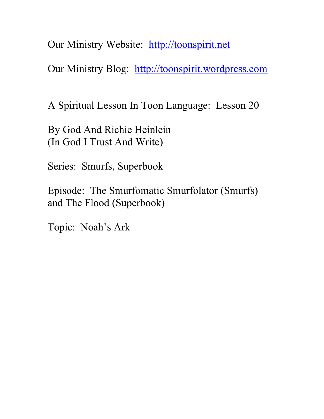Our Ministry Website: [http://toonspirit.net](http://toonspirit.net/)

Our Ministry Blog: [http://toonspirit.wordpress.com](http://toonspirit.wordpress.com/)

A Spiritual Lesson In Toon Language: Lesson 20

By God And Richie Heinlein (In God I Trust And Write)

Series: Smurfs, Superbook

Episode: The Smurfomatic Smurfolator (Smurfs) and The Flood (Superbook)

Topic: Noah's Ark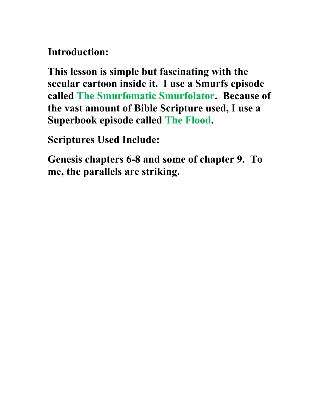**Introduction:**

**This lesson is simple but fascinating with the secular cartoon inside it. I use a Smurfs episode called The Smurfomatic Smurfolator. Because of the vast amount of Bible Scripture used, I use a Superbook episode called The Flood.** 

**Scriptures Used Include:**

**Genesis chapters 6-8 and some of chapter 9. To me, the parallels are striking.**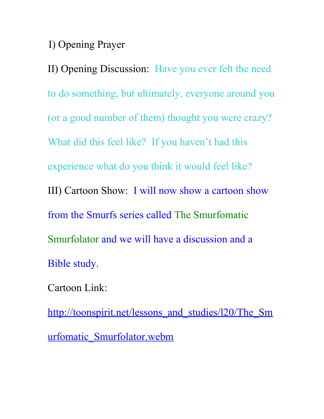I) Opening Prayer

II) Opening Discussion: Have you ever felt the need to do something, but ultimately, everyone around you (or a good number of them) thought you were crazy? What did this feel like? If you haven't had this experience what do you think it would feel like? III) Cartoon Show: I will now show a cartoon show from the Smurfs series called The Smurfomatic Smurfolator and we will have a discussion and a Bible study.

Cartoon Link:

http://toonspirit.net/lessons and studies/l20/The Sm [urfomatic\\_Smurfolator.webm](http://toonspirit.net/lessons_and_studies/l20/The_Smurfomatic_Smurfolator.webm)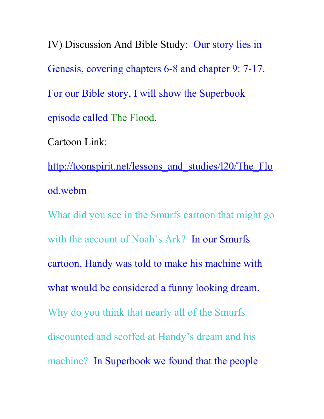IV) Discussion And Bible Study: Our story lies in Genesis, covering chapters 6-8 and chapter 9: 7-17. For our Bible story, I will show the Superbook episode called The Flood.

Cartoon Link:

http://toonspirit.net/lessons and studies/l20/The Flo [od.webm](http://toonspirit.net/lessons_and_studies/l20/The_Flood.webm)

What did you see in the Smurfs cartoon that might go with the account of Noah's Ark? In our Smurfs cartoon, Handy was told to make his machine with what would be considered a funny looking dream. Why do you think that nearly all of the Smurfs discounted and scoffed at Handy's dream and his machine? In Superbook we found that the people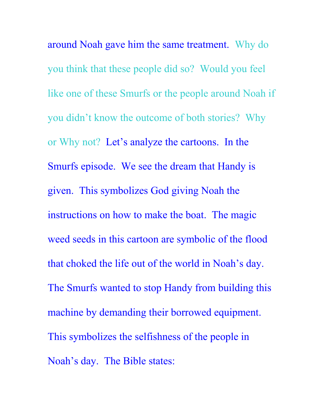around Noah gave him the same treatment. Why do you think that these people did so? Would you feel like one of these Smurfs or the people around Noah if you didn't know the outcome of both stories? Why or Why not? Let's analyze the cartoons. In the Smurfs episode. We see the dream that Handy is given. This symbolizes God giving Noah the instructions on how to make the boat. The magic weed seeds in this cartoon are symbolic of the flood that choked the life out of the world in Noah's day. The Smurfs wanted to stop Handy from building this machine by demanding their borrowed equipment. This symbolizes the selfishness of the people in Noah's day. The Bible states: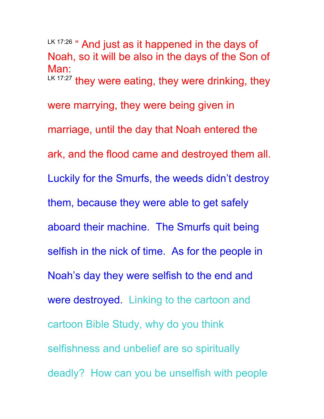LK 17:26 " And just as it happened in the days of Noah, so it will be also in the days of the Son of Man: LK 17:27 they were eating, they were drinking, they were marrying, they were being given in marriage, until the day that Noah entered the ark, and the flood came and destroyed them all. Luckily for the Smurfs, the weeds didn't destroy them, because they were able to get safely aboard their machine. The Smurfs quit being selfish in the nick of time. As for the people in Noah's day they were selfish to the end and were destroyed. Linking to the cartoon and cartoon Bible Study, why do you think selfishness and unbelief are so spiritually deadly? How can you be unselfish with people